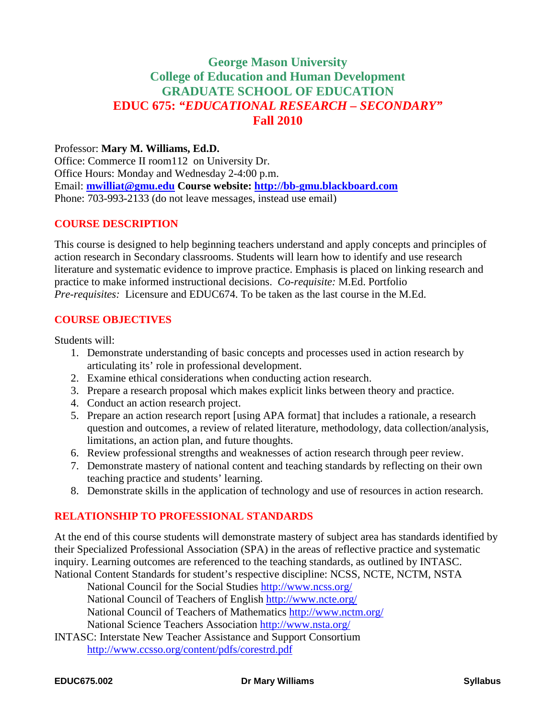# **George Mason University College of Education and Human Development GRADUATE SCHOOL OF EDUCATION EDUC 675:** *"EDUCATIONAL RESEARCH – SECONDARY"* **Fall 2010**

## Professor: **Mary M. Williams, Ed.D.**

Office: Commerce II room112 on University Dr. Office Hours: Monday and Wednesday 2-4:00 p.m. Email: **[mwilliat@gmu.edu](mailto:mwilliat@gmu.edu) Course website: [http://bb-gmu.blackboard.com](http://bb-gmu.blackboard.com/)** Phone: 703-993-2133 (do not leave messages, instead use email)

#### **COURSE DESCRIPTION**

This course is designed to help beginning teachers understand and apply concepts and principles of action research in Secondary classrooms. Students will learn how to identify and use research literature and systematic evidence to improve practice. Emphasis is placed on linking research and practice to make informed instructional decisions. *Co-requisite:* M.Ed. Portfolio *Pre-requisites:* Licensure and EDUC674. To be taken as the last course in the M.Ed.

#### **COURSE OBJECTIVES**

Students will:

- 1. Demonstrate understanding of basic concepts and processes used in action research by articulating its' role in professional development.
- 2. Examine ethical considerations when conducting action research.
- 3. Prepare a research proposal which makes explicit links between theory and practice.
- 4. Conduct an action research project.
- 5. Prepare an action research report [using APA format] that includes a rationale, a research question and outcomes, a review of related literature, methodology, data collection/analysis, limitations, an action plan, and future thoughts.
- 6. Review professional strengths and weaknesses of action research through peer review.
- 7. Demonstrate mastery of national content and teaching standards by reflecting on their own teaching practice and students' learning.
- 8. Demonstrate skills in the application of technology and use of resources in action research.

#### **RELATIONSHIP TO PROFESSIONAL STANDARDS**

At the end of this course students will demonstrate mastery of subject area has standards identified by their Specialized Professional Association (SPA) in the areas of reflective practice and systematic inquiry. Learning outcomes are referenced to the teaching standards, as outlined by INTASC. National Content Standards for student's respective discipline: NCSS, NCTE, NCTM, NSTA

National Council for the Social Studies<http://www.ncss.org/>

National Council of Teachers of English<http://www.ncte.org/>

National Council of Teachers of Mathematics<http://www.nctm.org/>

National Science Teachers Association<http://www.nsta.org/>

[INTASC: Interstate New Teacher Assistance and Support Consortium](http://www.ccsso.org/content/pdfs/corestrd.pdf) <http://www.ccsso.org/content/pdfs/corestrd.pdf>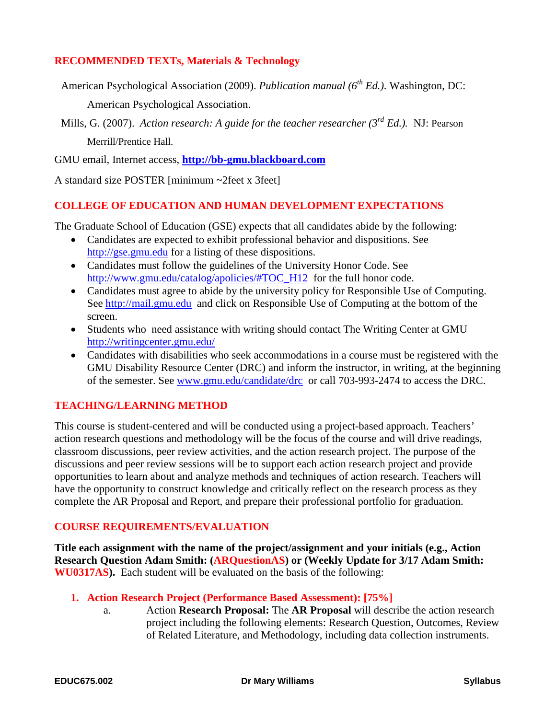## **RECOMMENDED TEXTs, Materials & Technology**

American Psychological Association (2009). *Publication manual* (6<sup>th</sup> Ed.). Washington, DC: American Psychological Association.

Mills, G. (2007). *Action research: A guide for the teacher researcher (3rd Ed.).* NJ: Pearson Merrill/Prentice Hall.

GMU email, Internet access, **[http://bb-gmu.blackboard.com](http://bb-gmu.blackboard.com/)**

A standard size POSTER [minimum ~2feet x 3feet]

#### **COLLEGE OF EDUCATION AND HUMAN DEVELOPMENT EXPECTATIONS**

The Graduate School of Education (GSE) expects that all candidates abide by the following:

- Candidates are expected to exhibit professional behavior and dispositions. See [http://gse.gmu.edu](http://gse.gmu.edu/) for a listing of these dispositions.
- Candidates must follow the guidelines of the University Honor Code. See [http://www.gmu.edu/catalog/apolicies/#TOC\\_H12](http://www.gmu.edu/catalog/apolicies/#TOC_H12) for the full honor code.
- Candidates must agree to abide by the university policy for Responsible Use of Computing. See [http://mail.gmu.edu](http://mail.gmu.edu/) and click on Responsible Use of Computing at the bottom of the screen.
- Students who need assistance with writing should contact The Writing Center at GMU <http://writingcenter.gmu.edu/>
- Candidates with disabilities who seek accommodations in a course must be registered with the GMU Disability Resource Center (DRC) and inform the instructor, in writing, at the beginning of the semester. See [www.gmu.edu/candidate/drc](http://www.gmu.edu/candidate/drc) or call 703-993-2474 to access the DRC.

#### **TEACHING/LEARNING METHOD**

This course is student-centered and will be conducted using a project-based approach. Teachers' action research questions and methodology will be the focus of the course and will drive readings, classroom discussions, peer review activities, and the action research project. The purpose of the discussions and peer review sessions will be to support each action research project and provide opportunities to learn about and analyze methods and techniques of action research. Teachers will have the opportunity to construct knowledge and critically reflect on the research process as they complete the AR Proposal and Report, and prepare their professional portfolio for graduation.

#### **COURSE REQUIREMENTS/EVALUATION**

**Title each assignment with the name of the project/assignment and your initials (e.g., Action Research Question Adam Smith: (ARQuestionAS) or (Weekly Update for 3/17 Adam Smith: WU0317AS).** Each student will be evaluated on the basis of the following:

- **1. Action Research Project (Performance Based Assessment): [75%]**
	- a. Action **Research Proposal:** The **AR Proposal** will describe the action research project including the following elements: Research Question, Outcomes, Review of Related Literature, and Methodology, including data collection instruments.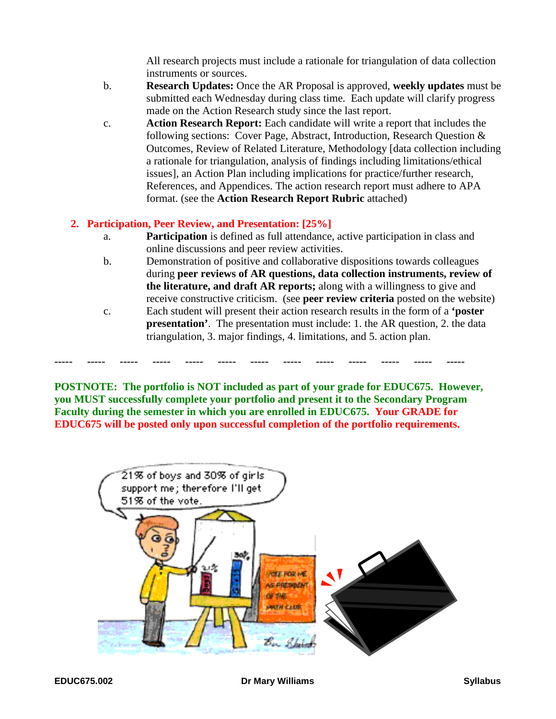All research projects must include a rationale for triangulation of data collection instruments or sources.

- b. **Research Updates:** Once the AR Proposal is approved, **weekly updates** must be submitted each Wednesday during class time. Each update will clarify progress made on the Action Research study since the last report.
- c. **Action Research Report:** Each candidate will write a report that includes the following sections: Cover Page, Abstract, Introduction, Research Question & Outcomes, Review of Related Literature, Methodology [data collection including a rationale for triangulation, analysis of findings including limitations/ethical issues], an Action Plan including implications for practice/further research, References, and Appendices. The action research report must adhere to APA format. (see the **Action Research Report Rubric** attached)

## **2. Participation, Peer Review, and Presentation: [25%]**

- a. **Participation** is defined as full attendance, active participation in class and online discussions and peer review activities.
- b. Demonstration of positive and collaborative dispositions towards colleagues during **peer reviews of AR questions, data collection instruments, review of the literature, and draft AR reports;** along with a willingness to give and receive constructive criticism. (see **peer review criteria** posted on the website)
- c. Each student will present their action research results in the form of a **'poster presentation'.** The presentation must include: 1. the AR question, 2. the data triangulation, 3. major findings, 4. limitations, and 5. action plan.

**POSTNOTE: The portfolio is NOT included as part of your grade for EDUC675. However, you MUST successfully complete your portfolio and present it to the Secondary Program Faculty during the semester in which you are enrolled in EDUC675. Your GRADE for EDUC675 will be posted only upon successful completion of the portfolio requirements.**

**----- ----- ----- ----- ----- ----- ----- ----- ----- ----- ----- ----- -----**

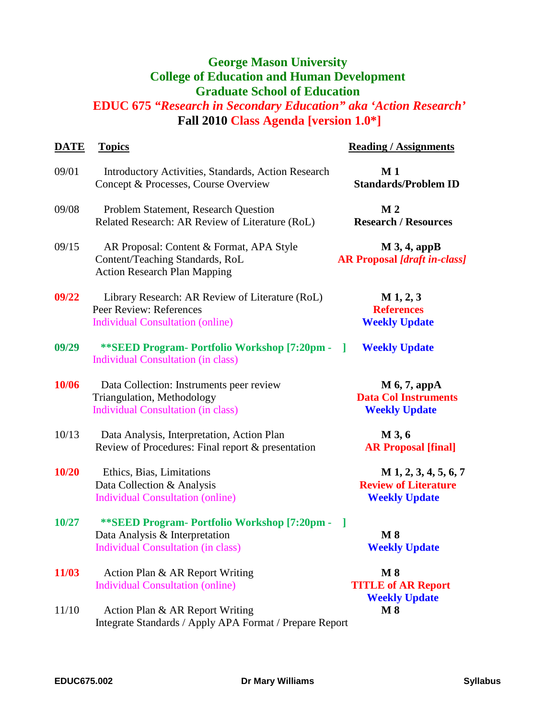# **George Mason University College of Education and Human Development Graduate School of Education**

# **EDUC 675** *"Research in Secondary Education" aka 'Action Research'* **Fall 2010 Class Agenda [version 1.0\*]**

| <b>DATE</b> | <b>Topics</b>                                                                                                                 | <b>Reading / Assignments</b>                                                   |
|-------------|-------------------------------------------------------------------------------------------------------------------------------|--------------------------------------------------------------------------------|
| 09/01       | Introductory Activities, Standards, Action Research<br>Concept & Processes, Course Overview                                   | M <sub>1</sub><br><b>Standards/Problem ID</b>                                  |
| 09/08       | Problem Statement, Research Question<br>Related Research: AR Review of Literature (RoL)                                       | $\bf{M}$ 2<br><b>Research / Resources</b>                                      |
| 09/15       | AR Proposal: Content & Format, APA Style<br>Content/Teaching Standards, RoL<br><b>Action Research Plan Mapping</b>            | $M$ 3, 4, appB<br><b>AR Proposal [draft in-class]</b>                          |
| 09/22       | Library Research: AR Review of Literature (RoL)<br>Peer Review: References<br><b>Individual Consultation (online)</b>         | $M_1, 2, 3$<br><b>References</b><br><b>Weekly Update</b>                       |
| 09/29       | **SEED Program- Portfolio Workshop [7:20pm -<br><b>Individual Consultation (in class)</b>                                     | <b>Weekly Update</b><br>- 1                                                    |
| 10/06       | Data Collection: Instruments peer review<br>Triangulation, Methodology<br><b>Individual Consultation (in class)</b>           | $M$ 6, 7, appA<br><b>Data Col Instruments</b><br><b>Weekly Update</b>          |
| 10/13       | Data Analysis, Interpretation, Action Plan<br>Review of Procedures: Final report & presentation                               | M 3, 6<br><b>AR Proposal [final]</b>                                           |
| 10/20       | Ethics, Bias, Limitations<br>Data Collection & Analysis<br><b>Individual Consultation (online)</b>                            | $M$ 1, 2, 3, 4, 5, 6, 7<br><b>Review of Literature</b><br><b>Weekly Update</b> |
| 10/27       | ** SEED Program - Portfolio Workshop [7:20pm -<br>Data Analysis & Interpretation<br><b>Individual Consultation (in class)</b> | $\lceil$<br>$\bf{M}$ 8<br><b>Weekly Update</b>                                 |
| 11/03       | Action Plan & AR Report Writing<br><b>Individual Consultation (online)</b>                                                    | $\bf M8$<br><b>TITLE of AR Report</b><br><b>Weekly Update</b>                  |
| 11/10       | Action Plan & AR Report Writing<br>Integrate Standards / Apply APA Format / Prepare Report                                    | $\bf{M}$ 8                                                                     |